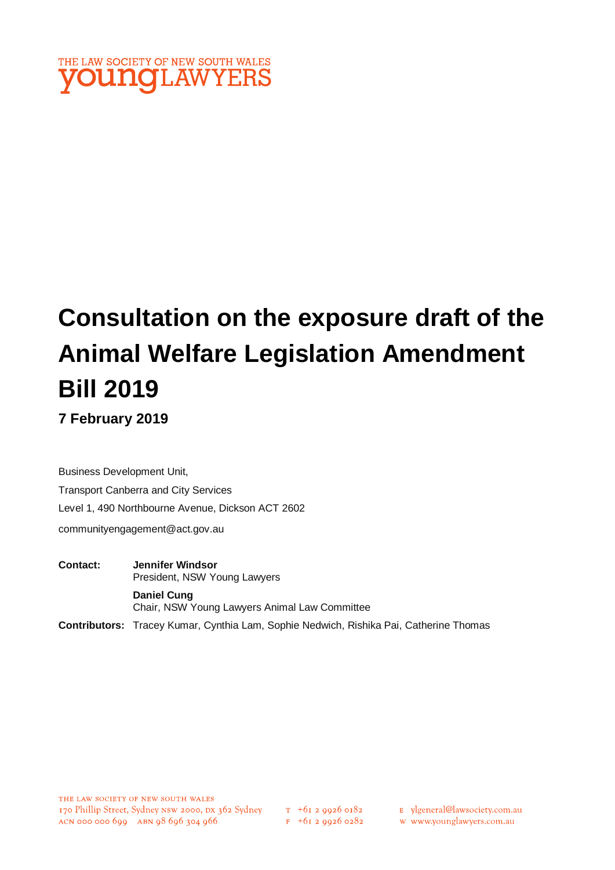

# **Consultation on the exposure draft of the Animal Welfare Legislation Amendment Bill 2019**

**7 February 2019**

Business Development Unit, Transport Canberra and City Services Level 1, 490 Northbourne Avenue, Dickson ACT 2602 communityengagement@act.gov.au

**Contact: Jennifer Windsor**  President, NSW Young Lawyers **Daniel Cung** Chair, NSW Young Lawyers Animal Law Committee

**Contributors:** Tracey Kumar, Cynthia Lam, Sophie Nedwich, Rishika Pai, Catherine Thomas

E ylgeneral@lawsociety.com.au

w www.younglawyers.com.au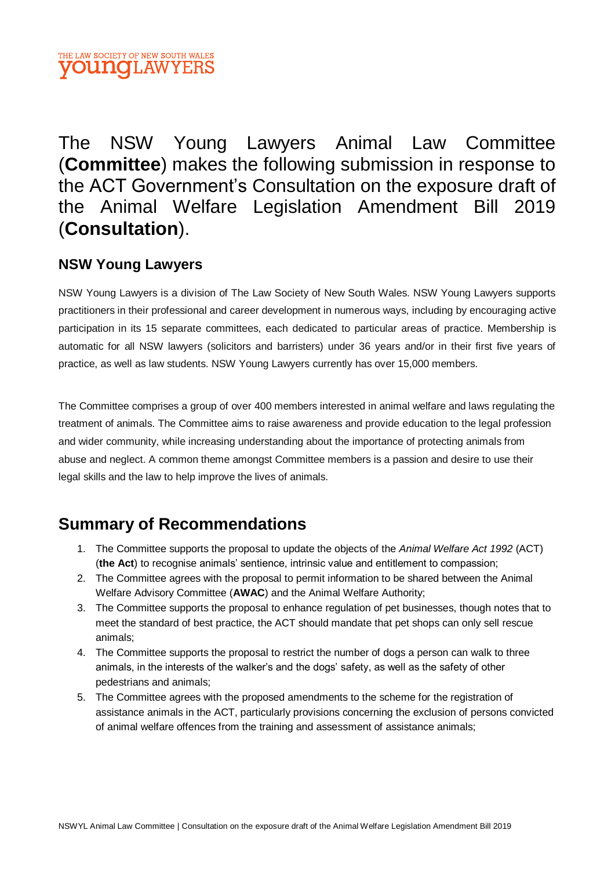# The NSW Young Lawyers Animal Law Committee (**Committee**) makes the following submission in response to the ACT Government's Consultation on the exposure draft of the Animal Welfare Legislation Amendment Bill 2019 (**Consultation**).

### **NSW Young Lawyers**

NSW Young Lawyers is a division of The Law Society of New South Wales. NSW Young Lawyers supports practitioners in their professional and career development in numerous ways, including by encouraging active participation in its 15 separate committees, each dedicated to particular areas of practice. Membership is automatic for all NSW lawyers (solicitors and barristers) under 36 years and/or in their first five years of practice, as well as law students. NSW Young Lawyers currently has over 15,000 members.

The Committee comprises a group of over 400 members interested in animal welfare and laws regulating the treatment of animals. The Committee aims to raise awareness and provide education to the legal profession and wider community, while increasing understanding about the importance of protecting animals from abuse and neglect. A common theme amongst Committee members is a passion and desire to use their legal skills and the law to help improve the lives of animals.

## **Summary of Recommendations**

- 1. The Committee supports the proposal to update the objects of the *Animal Welfare Act 1992* (ACT) (**the Act**) to recognise animals' sentience, intrinsic value and entitlement to compassion;
- 2. The Committee agrees with the proposal to permit information to be shared between the Animal Welfare Advisory Committee (**AWAC**) and the Animal Welfare Authority;
- 3. The Committee supports the proposal to enhance regulation of pet businesses, though notes that to meet the standard of best practice, the ACT should mandate that pet shops can only sell rescue animals;
- 4. The Committee supports the proposal to restrict the number of dogs a person can walk to three animals, in the interests of the walker's and the dogs' safety, as well as the safety of other pedestrians and animals;
- 5. The Committee agrees with the proposed amendments to the scheme for the registration of assistance animals in the ACT, particularly provisions concerning the exclusion of persons convicted of animal welfare offences from the training and assessment of assistance animals;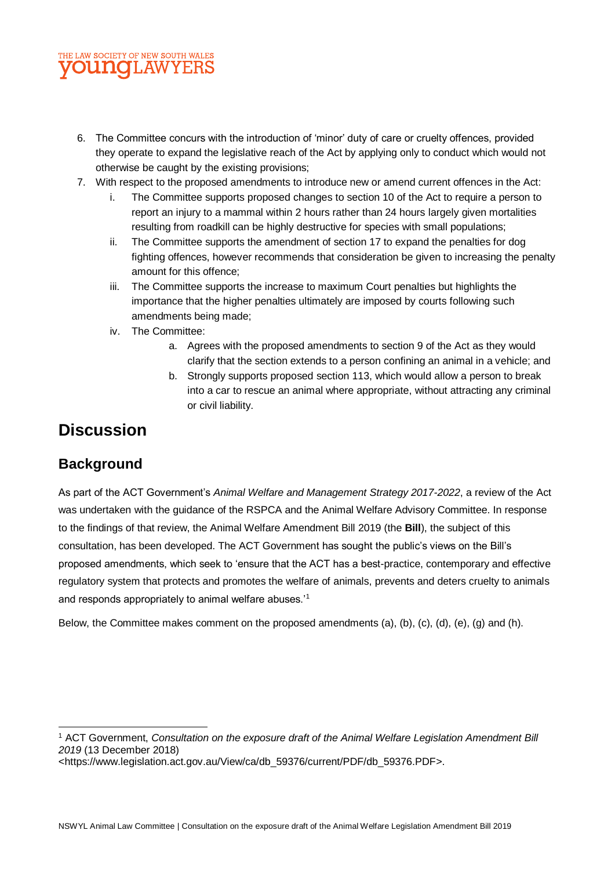- 6. The Committee concurs with the introduction of 'minor' duty of care or cruelty offences, provided they operate to expand the legislative reach of the Act by applying only to conduct which would not otherwise be caught by the existing provisions;
- 7. With respect to the proposed amendments to introduce new or amend current offences in the Act:
	- The Committee supports proposed changes to section 10 of the Act to require a person to report an injury to a mammal within 2 hours rather than 24 hours largely given mortalities resulting from roadkill can be highly destructive for species with small populations;
	- ii. The Committee supports the amendment of section 17 to expand the penalties for dog fighting offences, however recommends that consideration be given to increasing the penalty amount for this offence;
	- iii. The Committee supports the increase to maximum Court penalties but highlights the importance that the higher penalties ultimately are imposed by courts following such amendments being made;
	- iv. The Committee:
		- a. Agrees with the proposed amendments to section 9 of the Act as they would clarify that the section extends to a person confining an animal in a vehicle; and
		- b. Strongly supports proposed section 113, which would allow a person to break into a car to rescue an animal where appropriate, without attracting any criminal or civil liability.

### **Discussion**

### **Background**

 $\overline{\phantom{a}}$ 

As part of the ACT Government's *Animal Welfare and Management Strategy 2017-2022*, a review of the Act was undertaken with the guidance of the RSPCA and the Animal Welfare Advisory Committee. In response to the findings of that review, the Animal Welfare Amendment Bill 2019 (the **Bill**), the subject of this consultation, has been developed. The ACT Government has sought the public's views on the Bill's proposed amendments, which seek to 'ensure that the ACT has a best-practice, contemporary and effective regulatory system that protects and promotes the welfare of animals, prevents and deters cruelty to animals and responds appropriately to animal welfare abuses.'<sup>1</sup>

Below, the Committee makes comment on the proposed amendments (a), (b), (c), (d), (e), (g) and (h).

<sup>1</sup> ACT Government, *Consultation on the exposure draft of the Animal Welfare Legislation Amendment Bill 2019* (13 December 2018)

<sup>&</sup>lt;https://www.legislation.act.gov.au/View/ca/db\_59376/current/PDF/db\_59376.PDF>.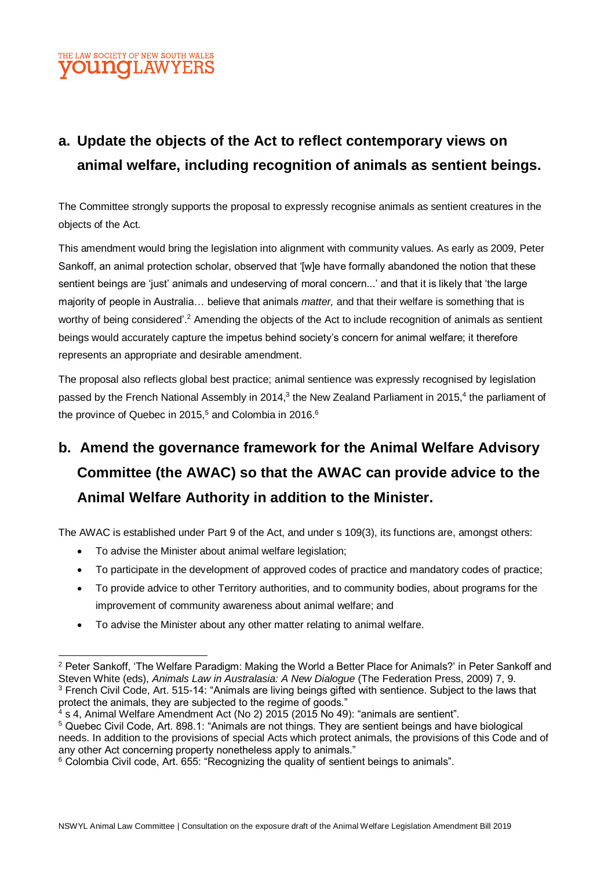# **a. Update the objects of the Act to reflect contemporary views on animal welfare, including recognition of animals as sentient beings.**

The Committee strongly supports the proposal to expressly recognise animals as sentient creatures in the objects of the Act.

This amendment would bring the legislation into alignment with community values. As early as 2009, Peter Sankoff, an animal protection scholar, observed that '[w]e have formally abandoned the notion that these sentient beings are 'just' animals and undeserving of moral concern...' and that it is likely that 'the large majority of people in Australia… believe that animals *matter,* and that their welfare is something that is worthy of being considered'.<sup>2</sup> Amending the objects of the Act to include recognition of animals as sentient beings would accurately capture the impetus behind society's concern for animal welfare; it therefore represents an appropriate and desirable amendment.

The proposal also reflects global best practice; animal sentience was expressly recognised by legislation passed by the French National Assembly in 2014,<sup>3</sup> the New Zealand Parliament in 2015,<sup>4</sup> the parliament of the province of Quebec in 2015,<sup>5</sup> and Colombia in 2016.<sup>6</sup>

# **b. Amend the governance framework for the Animal Welfare Advisory Committee (the AWAC) so that the AWAC can provide advice to the Animal Welfare Authority in addition to the Minister.**

The AWAC is established under Part 9 of the Act, and under s 109(3), its functions are, amongst others:

• To advise the Minister about animal welfare legislation;

l

- To participate in the development of approved codes of practice and mandatory codes of practice;
- To provide advice to other Territory authorities, and to community bodies, about programs for the improvement of community awareness about animal welfare; and
- To advise the Minister about any other matter relating to animal welfare.

<sup>2</sup> Peter Sankoff, 'The Welfare Paradigm: Making the World a Better Place for Animals?' in Peter Sankoff and Steven White (eds), *Animals Law in Australasia: A New Dialogue* (The Federation Press, 2009) 7, 9. <sup>3</sup> French Civil Code, Art. 515-14: "Animals are living beings gifted with sentience. Subject to the laws that protect the animals, they are subjected to the regime of goods."

 $4$  s 4, Animal Welfare Amendment Act (No 2) 2015 (2015 No 49): "animals are sentient".

<sup>5</sup> Quebec Civil Code, Art. 898.1: "Animals are not things. They are sentient beings and have biological needs. In addition to the provisions of special Acts which protect animals, the provisions of this Code and of any other Act concerning property nonetheless apply to animals."

<sup>6</sup> Colombia Civil code, Art. 655: "Recognizing the quality of sentient beings to animals".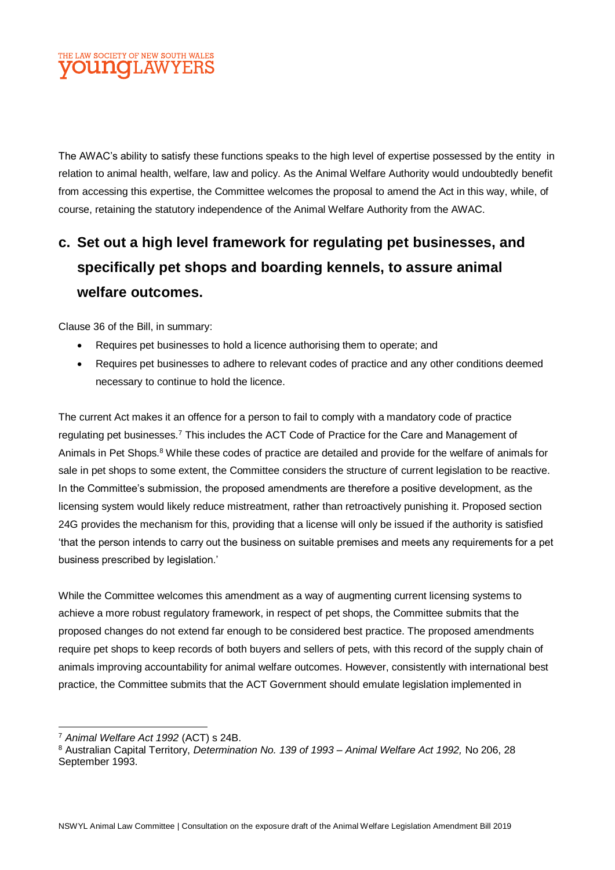The AWAC's ability to satisfy these functions speaks to the high level of expertise possessed by the entity in relation to animal health, welfare, law and policy. As the Animal Welfare Authority would undoubtedly benefit from accessing this expertise, the Committee welcomes the proposal to amend the Act in this way, while, of course, retaining the statutory independence of the Animal Welfare Authority from the AWAC.

# **c. Set out a high level framework for regulating pet businesses, and specifically pet shops and boarding kennels, to assure animal welfare outcomes.**

Clause 36 of the Bill, in summary:

- Requires pet businesses to hold a licence authorising them to operate; and
- Requires pet businesses to adhere to relevant codes of practice and any other conditions deemed necessary to continue to hold the licence.

The current Act makes it an offence for a person to fail to comply with a mandatory code of practice regulating pet businesses.<sup>7</sup> This includes the ACT Code of Practice for the Care and Management of Animals in Pet Shops.<sup>8</sup> While these codes of practice are detailed and provide for the welfare of animals for sale in pet shops to some extent, the Committee considers the structure of current legislation to be reactive. In the Committee's submission, the proposed amendments are therefore a positive development, as the licensing system would likely reduce mistreatment, rather than retroactively punishing it. Proposed section 24G provides the mechanism for this, providing that a license will only be issued if the authority is satisfied 'that the person intends to carry out the business on suitable premises and meets any requirements for a pet business prescribed by legislation.'

While the Committee welcomes this amendment as a way of augmenting current licensing systems to achieve a more robust regulatory framework, in respect of pet shops, the Committee submits that the proposed changes do not extend far enough to be considered best practice. The proposed amendments require pet shops to keep records of both buyers and sellers of pets, with this record of the supply chain of animals improving accountability for animal welfare outcomes. However, consistently with international best practice, the Committee submits that the ACT Government should emulate legislation implemented in

 $\overline{a}$ <sup>7</sup> *Animal Welfare Act 1992* (ACT) s 24B.

<sup>8</sup> Australian Capital Territory, *Determination No. 139 of 1993 – Animal Welfare Act 1992,* No 206, 28 September 1993.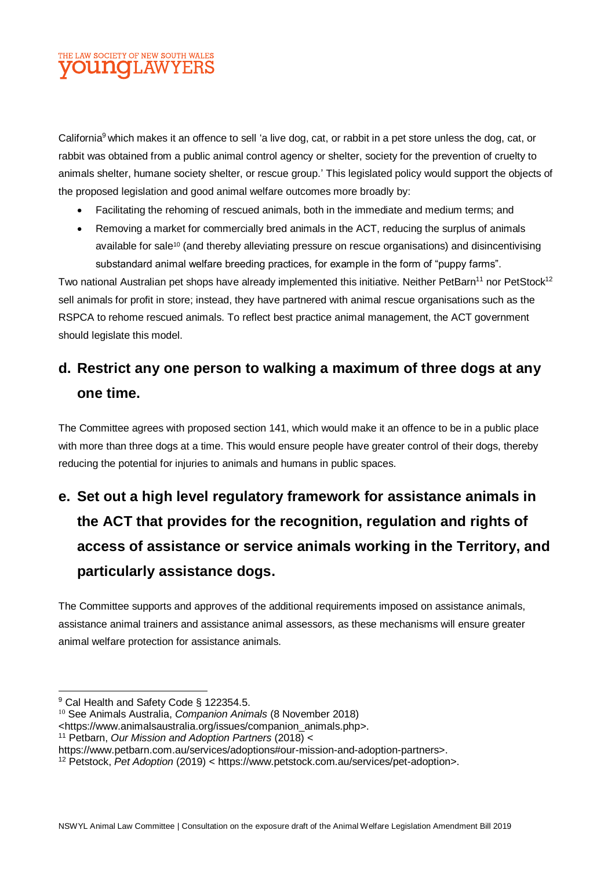California<sup>9</sup> which makes it an offence to sell 'a live dog, cat, or rabbit in a pet store unless the dog, cat, or rabbit was obtained from a public animal control agency or shelter, society for the prevention of cruelty to animals shelter, humane society shelter, or rescue group.' This legislated policy would support the objects of the proposed legislation and good animal welfare outcomes more broadly by:

- Facilitating the rehoming of rescued animals, both in the immediate and medium terms; and
- Removing a market for commercially bred animals in the ACT, reducing the surplus of animals available for sale<sup>10</sup> (and thereby alleviating pressure on rescue organisations) and disincentivising substandard animal welfare breeding practices, for example in the form of "puppy farms".

Two national Australian pet shops have already implemented this initiative. Neither PetBarn<sup>11</sup> nor PetStock<sup>12</sup> sell animals for profit in store; instead, they have partnered with animal rescue organisations such as the RSPCA to rehome rescued animals. To reflect best practice animal management, the ACT government should legislate this model.

## **d. Restrict any one person to walking a maximum of three dogs at any one time.**

The Committee agrees with proposed section 141, which would make it an offence to be in a public place with more than three dogs at a time. This would ensure people have greater control of their dogs, thereby reducing the potential for injuries to animals and humans in public spaces.

# **e. Set out a high level regulatory framework for assistance animals in the ACT that provides for the recognition, regulation and rights of access of assistance or service animals working in the Territory, and particularly assistance dogs.**

The Committee supports and approves of the additional requirements imposed on assistance animals, assistance animal trainers and assistance animal assessors, as these mechanisms will ensure greater animal welfare protection for assistance animals.

 $\overline{a}$ 

<sup>9</sup> Cal Health and Safety Code § 122354.5.

<sup>10</sup> See Animals Australia, *Companion Animals* (8 November 2018)

<sup>&</sup>lt;https://www.animalsaustralia.org/issues/companion\_animals.php>.

<sup>11</sup> Petbarn, *Our Mission and Adoption Partners* (2018) <

https://www.petbarn.com.au/services/adoptions#our-mission-and-adoption-partners>.

<sup>12</sup> Petstock, *Pet Adoption* (2019) < https://www.petstock.com.au/services/pet-adoption>.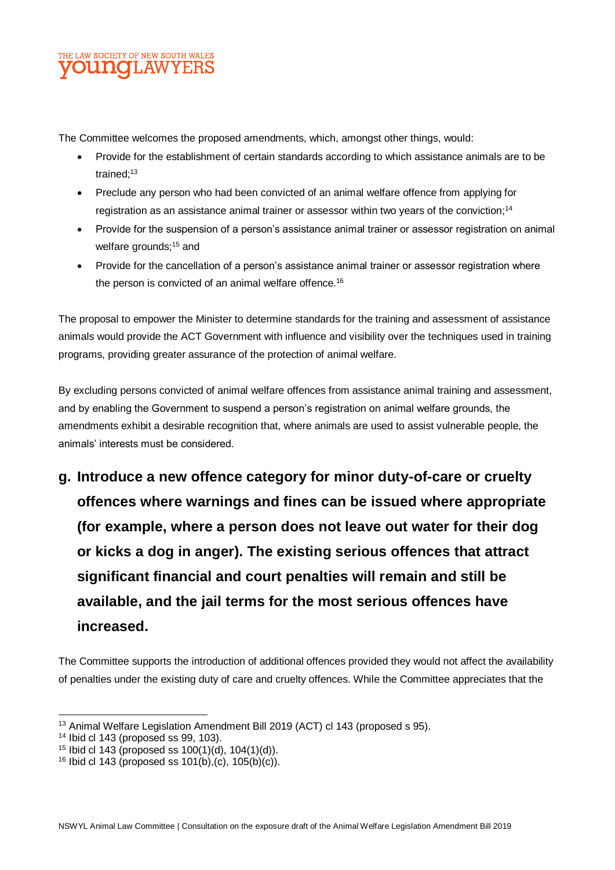The Committee welcomes the proposed amendments, which, amongst other things, would:

- Provide for the establishment of certain standards according to which assistance animals are to be trained:<sup>13</sup>
- Preclude any person who had been convicted of an animal welfare offence from applying for registration as an assistance animal trainer or assessor within two years of the conviction;<sup>14</sup>
- Provide for the suspension of a person's assistance animal trainer or assessor registration on animal welfare grounds:<sup>15</sup> and
- Provide for the cancellation of a person's assistance animal trainer or assessor registration where the person is convicted of an animal welfare offence.<sup>16</sup>

The proposal to empower the Minister to determine standards for the training and assessment of assistance animals would provide the ACT Government with influence and visibility over the techniques used in training programs, providing greater assurance of the protection of animal welfare.

By excluding persons convicted of animal welfare offences from assistance animal training and assessment, and by enabling the Government to suspend a person's registration on animal welfare grounds, the amendments exhibit a desirable recognition that, where animals are used to assist vulnerable people, the animals' interests must be considered.

**g. Introduce a new offence category for minor duty-of-care or cruelty offences where warnings and fines can be issued where appropriate (for example, where a person does not leave out water for their dog or kicks a dog in anger). The existing serious offences that attract significant financial and court penalties will remain and still be available, and the jail terms for the most serious offences have increased.**

The Committee supports the introduction of additional offences provided they would not affect the availability of penalties under the existing duty of care and cruelty offences. While the Committee appreciates that the

l <sup>13</sup> Animal Welfare Legislation Amendment Bill 2019 (ACT) cl 143 (proposed s 95).

 $14$  Ibid cl 143 (proposed ss 99, 103).

<sup>&</sup>lt;sup>15</sup> Ibid cl 143 (proposed ss  $100(1)(d)$ ,  $104(1)(d)$ ).

<sup>&</sup>lt;sup>16</sup> Ibid cl 143 (proposed ss 101(b), (c), 105(b)(c)).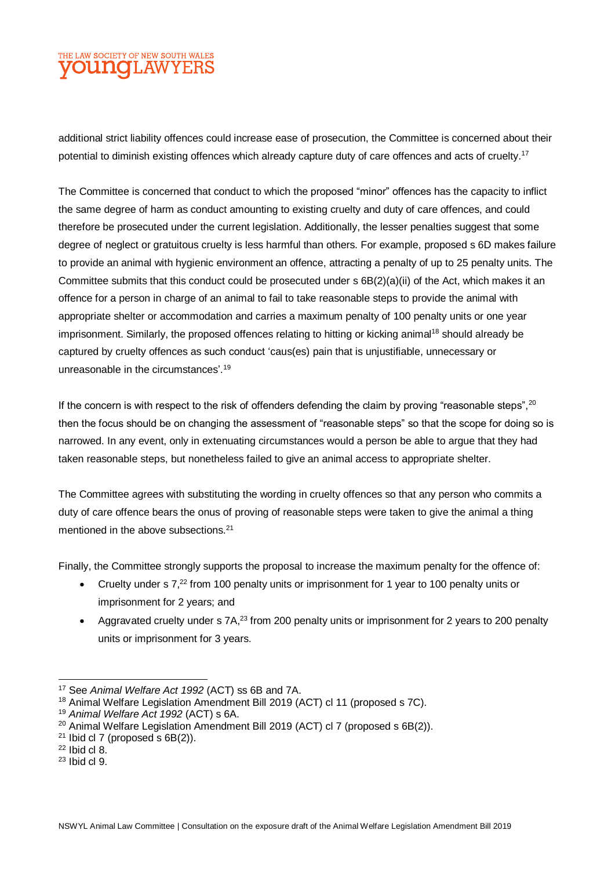additional strict liability offences could increase ease of prosecution, the Committee is concerned about their potential to diminish existing offences which already capture duty of care offences and acts of cruelty.<sup>17</sup>

The Committee is concerned that conduct to which the proposed "minor" offences has the capacity to inflict the same degree of harm as conduct amounting to existing cruelty and duty of care offences, and could therefore be prosecuted under the current legislation. Additionally, the lesser penalties suggest that some degree of neglect or gratuitous cruelty is less harmful than others. For example, proposed s 6D makes failure to provide an animal with hygienic environment an offence, attracting a penalty of up to 25 penalty units. The Committee submits that this conduct could be prosecuted under s 6B(2)(a)(ii) of the Act, which makes it an offence for a person in charge of an animal to fail to take reasonable steps to provide the animal with appropriate shelter or accommodation and carries a maximum penalty of 100 penalty units or one year imprisonment. Similarly, the proposed offences relating to hitting or kicking animal<sup>18</sup> should already be captured by cruelty offences as such conduct 'caus(es) pain that is unjustifiable, unnecessary or unreasonable in the circumstances'.<sup>19</sup>

If the concern is with respect to the risk of offenders defending the claim by proving "reasonable steps", <sup>20</sup> then the focus should be on changing the assessment of "reasonable steps" so that the scope for doing so is narrowed. In any event, only in extenuating circumstances would a person be able to argue that they had taken reasonable steps, but nonetheless failed to give an animal access to appropriate shelter.

The Committee agrees with substituting the wording in cruelty offences so that any person who commits a duty of care offence bears the onus of proving of reasonable steps were taken to give the animal a thing mentioned in the above subsections.<sup>21</sup>

Finally, the Committee strongly supports the proposal to increase the maximum penalty for the offence of:

- Cruelty under s 7,<sup>22</sup> from 100 penalty units or imprisonment for 1 year to 100 penalty units or imprisonment for 2 years; and
- Aggravated cruelty under s 7A,<sup>23</sup> from 200 penalty units or imprisonment for 2 years to 200 penalty units or imprisonment for 3 years.

 $\overline{a}$ 

<sup>17</sup> See *Animal Welfare Act 1992* (ACT) ss 6B and 7A.

<sup>&</sup>lt;sup>18</sup> Animal Welfare Legislation Amendment Bill 2019 (ACT) cl 11 (proposed s 7C).

<sup>19</sup> *Animal Welfare Act 1992* (ACT) s 6A.

<sup>&</sup>lt;sup>20</sup> Animal Welfare Legislation Amendment Bill 2019 (ACT) cl 7 (proposed s 6B(2)).

 $21$  Ibid cl 7 (proposed s 6B(2)).

 $22$  Ibid cl 8.

 $23$  Ibid cl 9.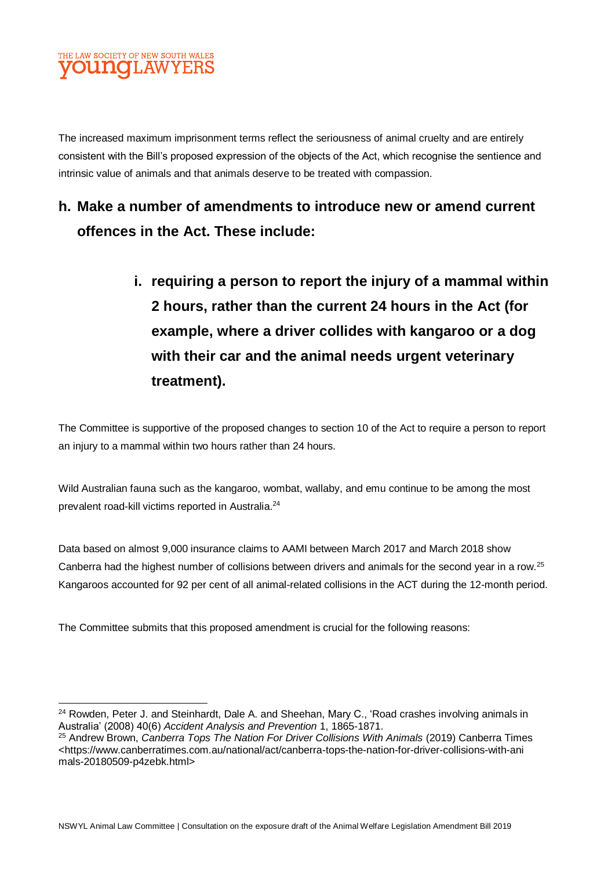

l

The increased maximum imprisonment terms reflect the seriousness of animal cruelty and are entirely consistent with the Bill's proposed expression of the objects of the Act, which recognise the sentience and intrinsic value of animals and that animals deserve to be treated with compassion.

### **h. Make a number of amendments to introduce new or amend current offences in the Act. These include:**

**i. requiring a person to report the injury of a mammal within 2 hours, rather than the current 24 hours in the Act (for example, where a driver collides with kangaroo or a dog with their car and the animal needs urgent veterinary treatment).** 

The Committee is supportive of the proposed changes to section 10 of the Act to require a person to report an injury to a mammal within two hours rather than 24 hours.

Wild Australian fauna such as the kangaroo, wombat, wallaby, and emu continue to be among the most prevalent road-kill victims reported in Australia.<sup>24</sup>

Data based on almost 9,000 insurance claims to AAMI between March 2017 and March 2018 show Canberra had the highest number of collisions between drivers and animals for the second year in a row.<sup>25</sup> Kangaroos accounted for 92 per cent of all animal-related collisions in the ACT during the 12-month period.

The Committee submits that this proposed amendment is crucial for the following reasons:

<sup>&</sup>lt;sup>24</sup> Rowden, Peter J. and Steinhardt, Dale A. and Sheehan, Mary C., 'Road crashes involving animals in Australia' (2008) 40(6) *Accident Analysis and Prevention* 1, 1865-1871.

<sup>25</sup> Andrew Brown, *Canberra Tops The Nation For Driver Collisions With Animals* (2019) Canberra Times <https://www.canberratimes.com.au/national/act/canberra-tops-the-nation-for-driver-collisions-with-ani mals-20180509-p4zebk.html>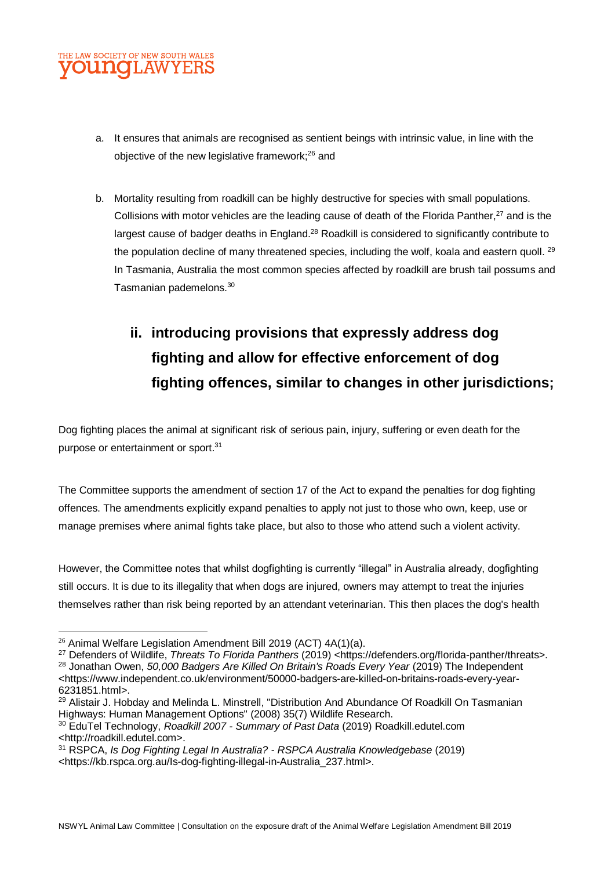

- a. It ensures that animals are recognised as sentient beings with intrinsic value, in line with the objective of the new legislative framework;<sup>26</sup> and
- b. Mortality resulting from roadkill can be highly destructive for species with small populations. Collisions with motor vehicles are the leading cause of death of the Florida Panther,<sup>27</sup> and is the largest cause of badger deaths in England.<sup>28</sup> Roadkill is considered to significantly contribute to the population decline of many threatened species, including the wolf, koala and eastern quoll. <sup>29</sup> In Tasmania, Australia the most common species affected by roadkill are brush tail possums and Tasmanian pademelons.<sup>30</sup>

# **ii. introducing provisions that expressly address dog fighting and allow for effective enforcement of dog fighting offences, similar to changes in other jurisdictions;**

Dog fighting places the animal at significant risk of serious pain, injury, suffering or even death for the purpose or entertainment or sport.<sup>31</sup>

The Committee supports the amendment of section 17 of the Act to expand the penalties for dog fighting offences. The amendments explicitly expand penalties to apply not just to those who own, keep, use or manage premises where animal fights take place, but also to those who attend such a violent activity.

However, the Committee notes that whilst dogfighting is currently "illegal" in Australia already, dogfighting still occurs. It is due to its illegality that when dogs are injured, owners may attempt to treat the injuries themselves rather than risk being reported by an attendant veterinarian. This then places the dog's health

 $\overline{a}$ 

- <sup>29</sup> Alistair J. Hobday and Melinda L. Minstrell. "Distribution And Abundance Of Roadkill On Tasmanian Highways: Human Management Options" (2008) 35(7) Wildlife Research.
- <sup>30</sup> EduTel Technology, *Roadkill 2007 - Summary of Past Data* (2019) Roadkill.edutel.com <http://roadkill.edutel.com>.
- <sup>31</sup> RSPCA, *Is Dog Fighting Legal In Australia? - RSPCA Australia Knowledgebase* (2019) <https://kb.rspca.org.au/Is-dog-fighting-illegal-in-Australia\_237.html>.

<sup>&</sup>lt;sup>26</sup> Animal Welfare Legislation Amendment Bill 2019 (ACT) 4A(1)(a).

<sup>27</sup> Defenders of Wildlife, *Threats To Florida Panthers* (2019) <https://defenders.org/florida-panther/threats>.

<sup>28</sup> Jonathan Owen, *50,000 Badgers Are Killed On Britain's Roads Every Year* (2019) The Independent <https://www.independent.co.uk/environment/50000-badgers-are-killed-on-britains-roads-every-year-6231851.html>.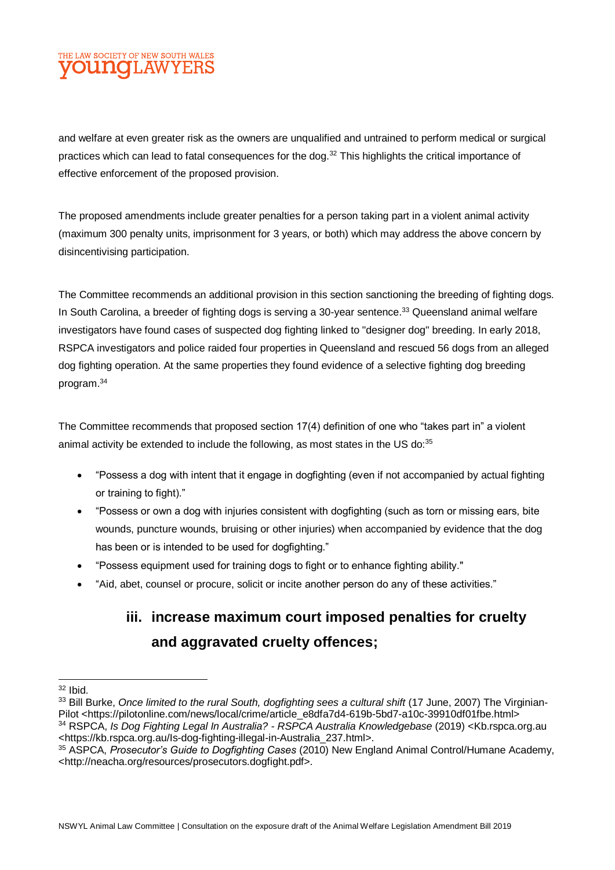and welfare at even greater risk as the owners are unqualified and untrained to perform medical or surgical practices which can lead to fatal consequences for the dog.<sup>32</sup> This highlights the critical importance of effective enforcement of the proposed provision.

The proposed amendments include greater penalties for a person taking part in a violent animal activity (maximum 300 penalty units, imprisonment for 3 years, or both) which may address the above concern by disincentivising participation.

The Committee recommends an additional provision in this section sanctioning the breeding of fighting dogs. In South Carolina, a breeder of fighting dogs is serving a 30-year sentence.<sup>33</sup> Queensland animal welfare investigators have found cases of suspected dog fighting linked to "designer dog" breeding. In early 2018, RSPCA investigators and police raided four properties in Queensland and rescued 56 dogs from an alleged dog fighting operation. At the same properties they found evidence of a selective fighting dog breeding program.<sup>34</sup>

The Committee recommends that proposed section 17(4) definition of one who "takes part in" a violent animal activity be extended to include the following, as most states in the US do:<sup>35</sup>

- "Possess a dog with intent that it engage in dogfighting (even if not accompanied by actual fighting or training to fight)."
- "Possess or own a dog with injuries consistent with dogfighting (such as torn or missing ears, bite wounds, puncture wounds, bruising or other injuries) when accompanied by evidence that the dog has been or is intended to be used for dogfighting."
- "Possess equipment used for training dogs to fight or to enhance fighting ability."
- "Aid, abet, counsel or procure, solicit or incite another person do any of these activities."

# **iii. increase maximum court imposed penalties for cruelty and aggravated cruelty offences;**

 $\overline{a}$  $32$  Ibid.

<sup>33</sup> Bill Burke, *Once limited to the rural South, dogfighting sees a cultural shift* (17 June, 2007) The Virginian-Pilot <https://pilotonline.com/news/local/crime/article\_e8dfa7d4-619b-5bd7-a10c-39910df01fbe.html> <sup>34</sup> RSPCA, *Is Dog Fighting Legal In Australia? - RSPCA Australia Knowledgebase* (2019) <Kb.rspca.org.au <https://kb.rspca.org.au/Is-dog-fighting-illegal-in-Australia\_237.html>.

<sup>35</sup> ASPCA, *Prosecutor's Guide to Dogfighting Cases* (2010) New England Animal Control/Humane Academy, [<http://neacha.org/resources/prosecutors.dogfight.pdf>](http://neacha.org/resources/prosecutors.dogfight.pdf).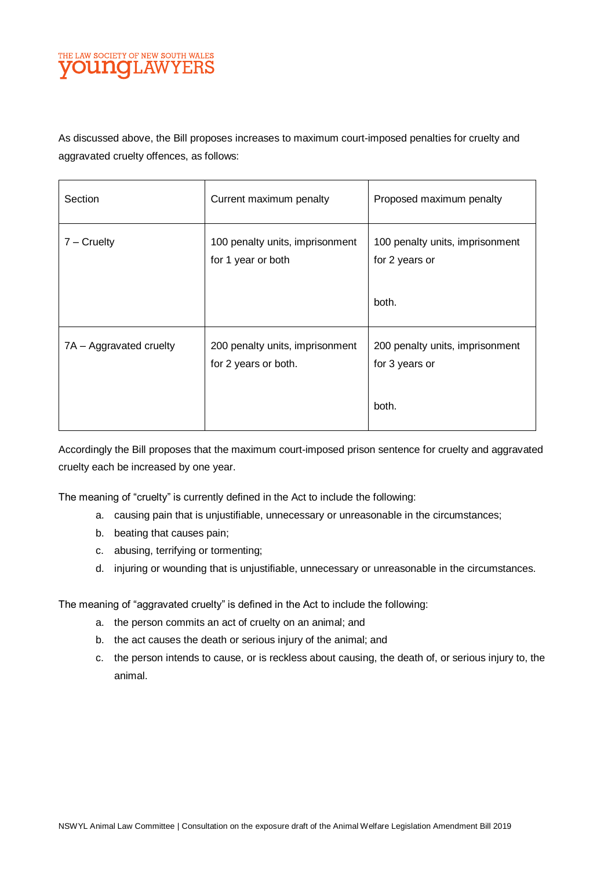As discussed above, the Bill proposes increases to maximum court-imposed penalties for cruelty and aggravated cruelty offences, as follows:

| Section                 | Current maximum penalty                                 | Proposed maximum penalty                                   |
|-------------------------|---------------------------------------------------------|------------------------------------------------------------|
| $7 -$ Cruelty           | 100 penalty units, imprisonment<br>for 1 year or both   | 100 penalty units, imprisonment<br>for 2 years or<br>both. |
| 7A – Aggravated cruelty | 200 penalty units, imprisonment<br>for 2 years or both. | 200 penalty units, imprisonment<br>for 3 years or<br>both. |

Accordingly the Bill proposes that the maximum court-imposed prison sentence for cruelty and aggravated cruelty each be increased by one year.

The meaning of "cruelty" is currently defined in the Act to include the following:

- a. causing pain that is unjustifiable, unnecessary or unreasonable in the circumstances;
- b. beating that causes pain;
- c. abusing, terrifying or tormenting;
- d. injuring or wounding that is unjustifiable, unnecessary or unreasonable in the circumstances.

The meaning of "aggravated cruelty" is defined in the Act to include the following:

- a. the person commits an act of cruelty on an animal; and
- b. the act causes the death or serious injury of the animal; and
- c. the person intends to cause, or is reckless about causing, the death of, or serious injury to, the animal.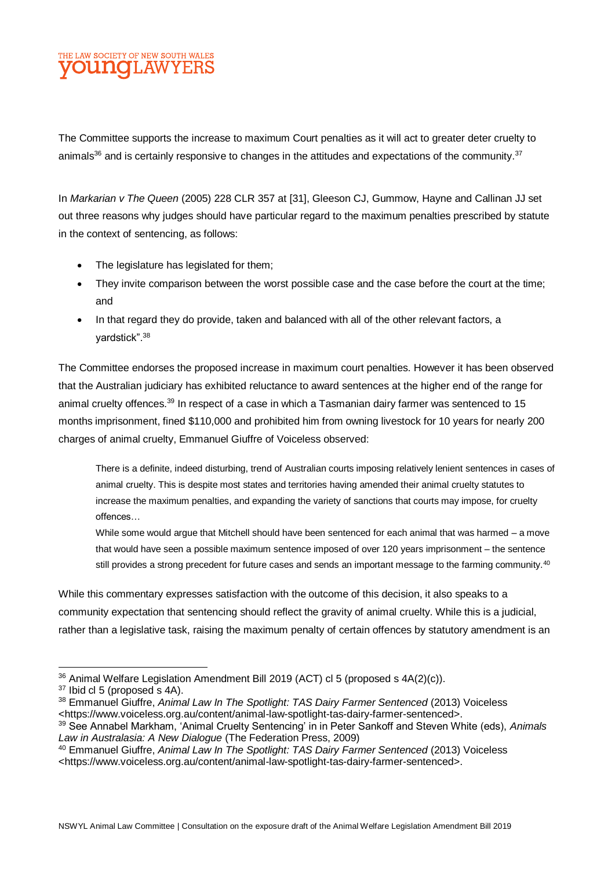The Committee supports the increase to maximum Court penalties as it will act to greater deter cruelty to animals<sup>36</sup> and is certainly responsive to changes in the attitudes and expectations of the community.<sup>37</sup>

In *Markarian v The Queen* (2005) 228 CLR 357 at [31], Gleeson CJ, Gummow, Hayne and Callinan JJ set out three reasons why judges should have particular regard to the maximum penalties prescribed by statute in the context of sentencing, as follows:

- The legislature has legislated for them;
- They invite comparison between the worst possible case and the case before the court at the time; and
- In that regard they do provide, taken and balanced with all of the other relevant factors, a yardstick".<sup>38</sup>

The Committee endorses the proposed increase in maximum court penalties. However it has been observed that the Australian judiciary has exhibited reluctance to award sentences at the higher end of the range for animal cruelty offences.<sup>39</sup> In respect of a case in which a Tasmanian dairy farmer was sentenced to 15 months imprisonment, fined \$110,000 and prohibited him from owning livestock for 10 years for nearly 200 charges of animal cruelty, Emmanuel Giuffre of Voiceless observed:

There is a definite, indeed disturbing, trend of Australian courts imposing relatively lenient sentences in cases of animal cruelty. This is despite most states and territories having amended their animal cruelty statutes to increase the maximum penalties, and expanding the variety of sanctions that courts may impose, for cruelty offences…

While some would argue that Mitchell should have been sentenced for each animal that was harmed – a move that would have seen a possible maximum sentence imposed of over 120 years imprisonment – the sentence still provides a strong precedent for future cases and sends an important message to the farming community.<sup>40</sup>

While this commentary expresses satisfaction with the outcome of this decision, it also speaks to a community expectation that sentencing should reflect the gravity of animal cruelty. While this is a judicial, rather than a legislative task, raising the maximum penalty of certain offences by statutory amendment is an

l <sup>36</sup> Animal Welfare Legislation Amendment Bill 2019 (ACT) cl 5 (proposed s 4A(2)(c)).

<sup>&</sup>lt;sup>37</sup> Ibid cl 5 (proposed s 4A).

<sup>38</sup> Emmanuel Giuffre, *Animal Law In The Spotlight: TAS Dairy Farmer Sentenced* (2013) Voiceless <https://www.voiceless.org.au/content/animal-law-spotlight-tas-dairy-farmer-sentenced>.

<sup>39</sup> See Annabel Markham, 'Animal Cruelty Sentencing' in in Peter Sankoff and Steven White (eds), *Animals Law in Australasia: A New Dialogue* (The Federation Press, 2009)

<sup>40</sup> Emmanuel Giuffre, *Animal Law In The Spotlight: TAS Dairy Farmer Sentenced* (2013) Voiceless <https://www.voiceless.org.au/content/animal-law-spotlight-tas-dairy-farmer-sentenced>.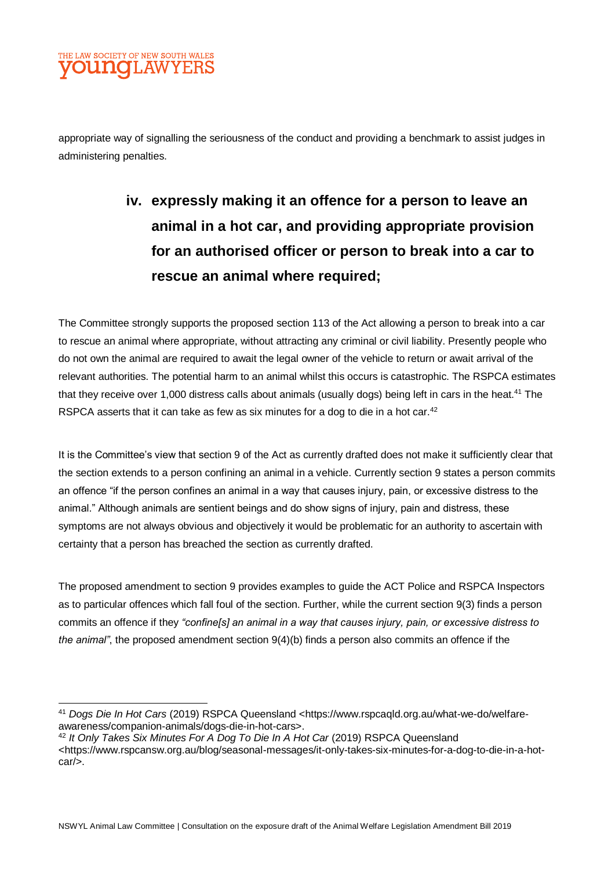

l

appropriate way of signalling the seriousness of the conduct and providing a benchmark to assist judges in administering penalties.

# **iv. expressly making it an offence for a person to leave an animal in a hot car, and providing appropriate provision for an authorised officer or person to break into a car to rescue an animal where required;**

The Committee strongly supports the proposed section 113 of the Act allowing a person to break into a car to rescue an animal where appropriate, without attracting any criminal or civil liability. Presently people who do not own the animal are required to await the legal owner of the vehicle to return or await arrival of the relevant authorities. The potential harm to an animal whilst this occurs is catastrophic. The RSPCA estimates that they receive over 1,000 distress calls about animals (usually dogs) being left in cars in the heat.<sup>41</sup> The RSPCA asserts that it can take as few as six minutes for a dog to die in a hot car.<sup>42</sup>

It is the Committee's view that section 9 of the Act as currently drafted does not make it sufficiently clear that the section extends to a person confining an animal in a vehicle. Currently section 9 states a person commits an offence "if the person confines an animal in a way that causes injury, pain, or excessive distress to the animal." Although animals are sentient beings and do show signs of injury, pain and distress, these symptoms are not always obvious and objectively it would be problematic for an authority to ascertain with certainty that a person has breached the section as currently drafted.

The proposed amendment to section 9 provides examples to guide the ACT Police and RSPCA Inspectors as to particular offences which fall foul of the section. Further, while the current section 9(3) finds a person commits an offence if they *"confine[s] an animal in a way that causes injury, pain, or excessive distress to the animal"*, the proposed amendment section 9(4)(b) finds a person also commits an offence if the

NSWYL Animal Law Committee | Consultation on the exposure draft of the Animal Welfare Legislation Amendment Bill 2019

<sup>41</sup> *Dogs Die In Hot Cars* (2019) RSPCA Queensland <https://www.rspcaqld.org.au/what-we-do/welfareawareness/companion-animals/dogs-die-in-hot-cars>.

<sup>42</sup> *It Only Takes Six Minutes For A Dog To Die In A Hot Car* (2019) RSPCA Queensland <https://www.rspcansw.org.au/blog/seasonal-messages/it-only-takes-six-minutes-for-a-dog-to-die-in-a-hotcar/>.